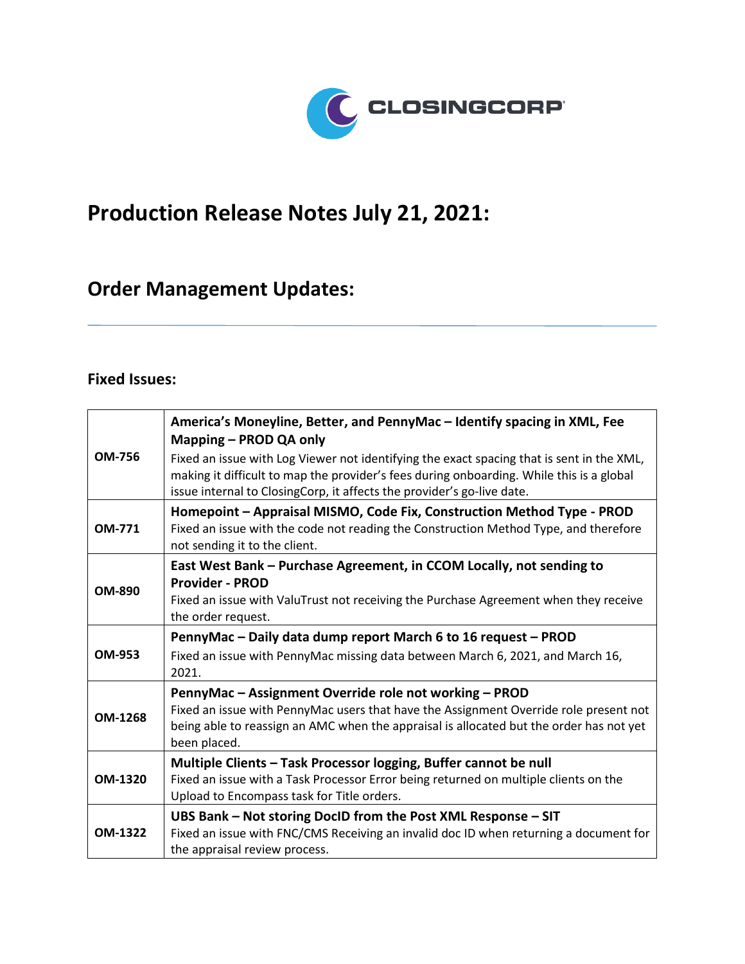

## **Production Release Notes July 21, 2021:**

## **Order Management Updates:**

## **Fixed Issues:**

|                | America's Moneyline, Better, and PennyMac - Identify spacing in XML, Fee<br>Mapping - PROD QA only                                                                                                                                                              |
|----------------|-----------------------------------------------------------------------------------------------------------------------------------------------------------------------------------------------------------------------------------------------------------------|
| <b>OM-756</b>  | Fixed an issue with Log Viewer not identifying the exact spacing that is sent in the XML,<br>making it difficult to map the provider's fees during onboarding. While this is a global<br>issue internal to ClosingCorp, it affects the provider's go-live date. |
| <b>OM-771</b>  | Homepoint - Appraisal MISMO, Code Fix, Construction Method Type - PROD<br>Fixed an issue with the code not reading the Construction Method Type, and therefore<br>not sending it to the client.                                                                 |
|                | East West Bank - Purchase Agreement, in CCOM Locally, not sending to                                                                                                                                                                                            |
| <b>OM-890</b>  | <b>Provider - PROD</b>                                                                                                                                                                                                                                          |
|                | Fixed an issue with ValuTrust not receiving the Purchase Agreement when they receive                                                                                                                                                                            |
|                | the order request.                                                                                                                                                                                                                                              |
|                | PennyMac - Daily data dump report March 6 to 16 request - PROD                                                                                                                                                                                                  |
| OM-953         | Fixed an issue with PennyMac missing data between March 6, 2021, and March 16,<br>2021.                                                                                                                                                                         |
|                | PennyMac - Assignment Override role not working - PROD                                                                                                                                                                                                          |
| <b>OM-1268</b> | Fixed an issue with PennyMac users that have the Assignment Override role present not<br>being able to reassign an AMC when the appraisal is allocated but the order has not yet<br>been placed.                                                                |
|                | Multiple Clients - Task Processor logging, Buffer cannot be null                                                                                                                                                                                                |
| OM-1320        | Fixed an issue with a Task Processor Error being returned on multiple clients on the                                                                                                                                                                            |
|                | Upload to Encompass task for Title orders.                                                                                                                                                                                                                      |
|                | UBS Bank - Not storing DocID from the Post XML Response - SIT                                                                                                                                                                                                   |
| <b>OM-1322</b> | Fixed an issue with FNC/CMS Receiving an invalid doc ID when returning a document for                                                                                                                                                                           |
|                | the appraisal review process.                                                                                                                                                                                                                                   |